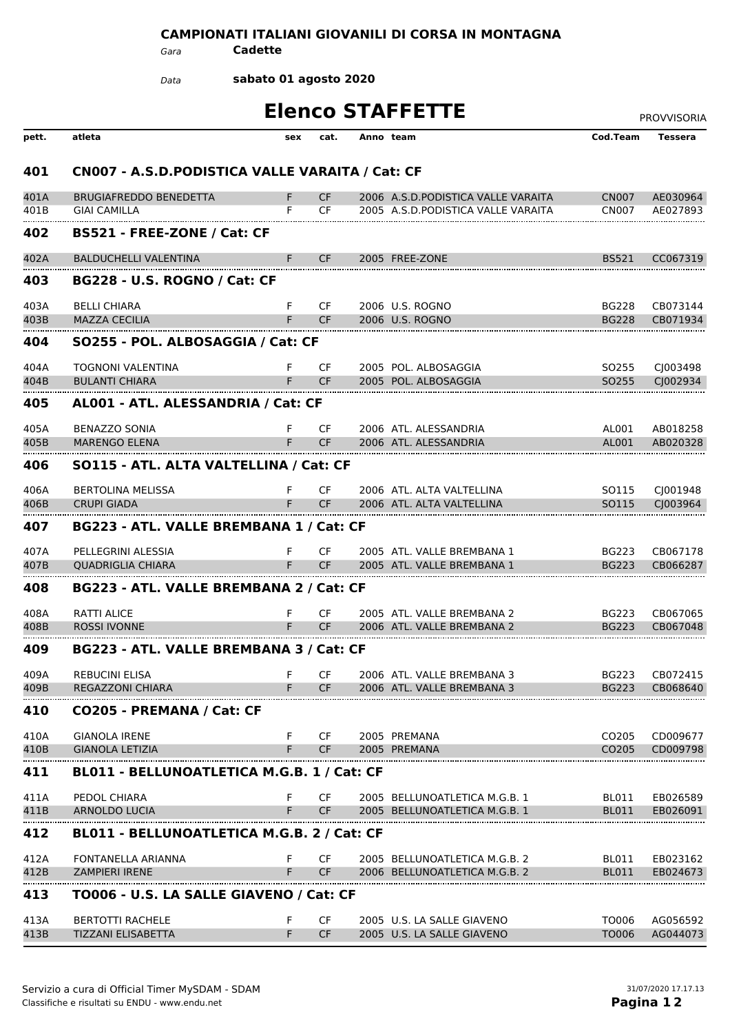## **CAMPIONATI ITALIANI GIOVANILI DI CORSA IN MONTAGNA**

*Gara* **Cadette**

**sabato 01 agosto 2020** *Data*

| <b>Elenco STAFFETTE</b> |                                                  |     |           |  |                                     |                   |                      |  |  |  |
|-------------------------|--------------------------------------------------|-----|-----------|--|-------------------------------------|-------------------|----------------------|--|--|--|
| pett.                   | atleta                                           | sex | cat.      |  | Anno team                           | Cod.Team          | <b>Tessera</b>       |  |  |  |
| 401                     | CN007 - A.S.D. PODISTICA VALLE VARAITA / Cat: CF |     |           |  |                                     |                   |                      |  |  |  |
| 401A                    | <b>BRUGIAFREDDO BENEDETTA</b>                    | F.  | CF.       |  | 2006 A.S.D. PODISTICA VALLE VARAITA | <b>CN007</b>      | AE030964             |  |  |  |
| 401B                    | <b>GIAI CAMILLA</b>                              | F.  | CF        |  | 2005 A.S.D. PODISTICA VALLE VARAITA | <b>CN007</b>      | AE027893             |  |  |  |
| 402                     | BS521 - FREE-ZONE / Cat: CF                      |     |           |  |                                     |                   |                      |  |  |  |
| 402A                    | <b>BALDUCHELLI VALENTINA</b>                     |     | CF.       |  | 2005 FREE-ZONE                      | <b>BS521</b>      | CC067319             |  |  |  |
| 403                     | <b>BG228 - U.S. ROGNO / Cat: CF</b>              |     |           |  |                                     |                   |                      |  |  |  |
| 403A                    | <b>BELLI CHIARA</b>                              | F.  | CF.       |  | 2006 U.S. ROGNO                     | <b>BG228</b>      | CB073144             |  |  |  |
| 403B                    | <b>MAZZA CECILIA</b>                             |     | CF.       |  | 2006 U.S. ROGNO                     | <b>BG228</b>      | CB071934             |  |  |  |
| 404                     | SO255 - POL. ALBOSAGGIA / Cat: CF                |     |           |  |                                     |                   |                      |  |  |  |
| 404A                    | TOGNONI VALENTINA                                | F   | CF.       |  | 2005 POL. ALBOSAGGIA                | SO255             | CJ003498             |  |  |  |
| 404B                    | <b>BULANTI CHIARA</b>                            | F.  | <b>CF</b> |  | 2005 POL. ALBOSAGGIA                | SO <sub>255</sub> | CJ002934             |  |  |  |
| 405                     | AL001 - ATL. ALESSANDRIA / Cat: CF               |     |           |  |                                     |                   |                      |  |  |  |
| 405A                    | <b>BENAZZO SONIA</b>                             | F.  | CF.       |  | 2006 ATL. ALESSANDRIA               | AL001             | AB018258             |  |  |  |
| 405B                    | <b>MARENGO ELENA</b>                             | F   | <b>CF</b> |  | 2006 ATL, ALESSANDRIA               | AL001             | AB020328             |  |  |  |
| 406                     | SO115 - ATL. ALTA VALTELLINA / Cat: CF           |     |           |  |                                     |                   |                      |  |  |  |
| 406A                    | <b>BERTOLINA MELISSA</b>                         | F.  | CF        |  | 2006 ATL. ALTA VALTELLINA           | SO115             | CJ001948             |  |  |  |
| 406B                    | <b>CRUPI GIADA</b>                               | F.  | <b>CF</b> |  | 2006 ATL, ALTA VALTELLINA           | SO115             | C <sub>1003964</sub> |  |  |  |
| 407                     | BG223 - ATL. VALLE BREMBANA 1 / Cat: CF          |     |           |  |                                     |                   |                      |  |  |  |
| 407A                    | PELLEGRINI ALESSIA                               | F.  | CF.       |  | 2005 ATL. VALLE BREMBANA 1          | <b>BG223</b>      | CB067178             |  |  |  |
| 407B                    | <b>QUADRIGLIA CHIARA</b>                         | F.  | CF        |  | 2005 ATL. VALLE BREMBANA 1          | <b>BG223</b>      | CB066287             |  |  |  |
| 408                     | BG223 - ATL. VALLE BREMBANA 2 / Cat: CF          |     |           |  |                                     |                   |                      |  |  |  |
| 408A                    | <b>RATTI ALICE</b>                               | F   | CF.       |  | 2005 ATL. VALLE BREMBANA 2          | <b>BG223</b>      | CB067065             |  |  |  |
| 408B                    | <b>ROSSI IVONNE</b>                              | F.  | CF.       |  | 2006 ATL. VALLE BREMBANA 2          | <b>BG223</b>      | CB067048             |  |  |  |
| 409                     | BG223 - ATL. VALLE BREMBANA 3 / Cat: CF          |     |           |  |                                     |                   |                      |  |  |  |
| 409A                    | <b>REBUCINI ELISA</b>                            |     | CF        |  | 2006 ATL. VALLE BREMBANA 3          | <b>BG223</b>      | CB072415             |  |  |  |
| 409B                    | <b>REGAZZONI CHIARA</b>                          |     | <b>CF</b> |  | 2006 ATL. VALLE BREMBANA 3          | <b>BG223</b>      | CB068640             |  |  |  |
| 410                     | CO205 - PREMANA / Cat: CF                        |     |           |  |                                     |                   |                      |  |  |  |
| 410A                    | <b>GIANOLA IRENE</b>                             | F   | CF.       |  | 2005 PREMANA                        | CO <sub>205</sub> | CD009677             |  |  |  |
| 410B                    | <b>GIANOLA LETIZIA</b>                           | F.  | <b>CF</b> |  | 2005 PREMANA                        | CO <sub>205</sub> | CD009798             |  |  |  |
| 411                     | BL011 - BELLUNOATLETICA M.G.B. 1 / Cat: CF       |     |           |  |                                     |                   |                      |  |  |  |
| 411A                    | PEDOL CHIARA                                     | F   | CF.       |  | 2005 BELLUNOATLETICA M.G.B. 1       | <b>BL011</b>      | EB026589             |  |  |  |
| 411B                    | ARNOLDO LUCIA                                    | F   | CF.       |  | 2005 BELLUNOATLETICA M.G.B. 1       | BL011             | EB026091             |  |  |  |
| 412                     | BL011 - BELLUNOATLETICA M.G.B. 2 / Cat: CF       |     |           |  |                                     |                   |                      |  |  |  |
| 412A                    | FONTANELLA ARIANNA                               | F   | CF.       |  | 2005 BELLUNOATLETICA M.G.B. 2       | BL011             | EB023162             |  |  |  |
| 412B                    | <b>ZAMPIERI IRENE</b>                            | F   | CF.       |  | 2006 BELLUNOATLETICA M.G.B. 2       | BL011             | EB024673             |  |  |  |
| 413                     | TO006 - U.S. LA SALLE GIAVENO / Cat: CF          |     |           |  |                                     |                   |                      |  |  |  |
| 413A                    | <b>BERTOTTI RACHELE</b>                          | F   | CF        |  | 2005 U.S. LA SALLE GIAVENO          | TO006             | AG056592             |  |  |  |
| 413B                    | <b>TIZZANI ELISABETTA</b>                        | F.  | <b>CF</b> |  | 2005 U.S. LA SALLE GIAVENO          | TO006             | AG044073             |  |  |  |